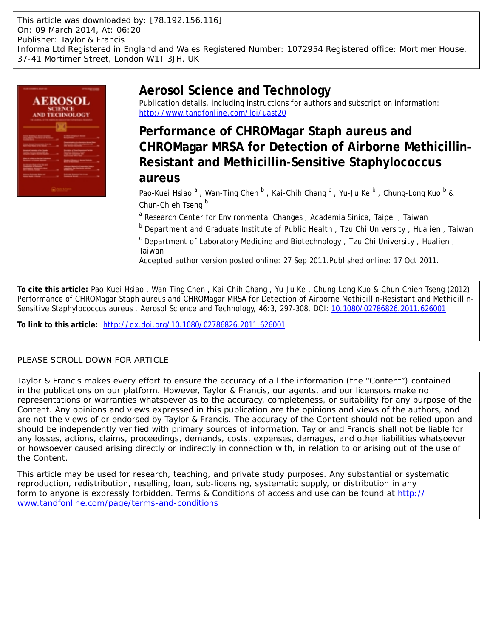This article was downloaded by: [78.192.156.116] On: 09 March 2014, At: 06:20 Publisher: Taylor & Francis Informa Ltd Registered in England and Wales Registered Number: 1072954 Registered office: Mortimer House, 37-41 Mortimer Street, London W1T 3JH, UK



# **Aerosol Science and Technology**

Publication details, including instructions for authors and subscription information: <http://www.tandfonline.com/loi/uast20>

# **Performance of CHROMagar Staph aureus and CHROMagar MRSA for Detection of Airborne Methicillin-Resistant and Methicillin-Sensitive Staphylococcus aureus**

Pao-Kuei Hsiao <sup>a</sup>, Wan-Ting Chen <sup>b</sup>, Kai-Chih Chang <sup>c</sup>, Yu-Ju Ke <sup>b</sup>, Chung-Long Kuo <sup>b</sup> & Chun-Chieh Tseng<sup>b</sup>

<sup>a</sup> Research Center for Environmental Changes, Academia Sinica, Taipei, Taiwan

<sup>b</sup> Department and Graduate Institute of Public Health, Tzu Chi University, Hualien, Taiwan

<sup>c</sup> Department of Laboratory Medicine and Biotechnology, Tzu Chi University, Hualien, Taiwan

Accepted author version posted online: 27 Sep 2011.Published online: 17 Oct 2011.

**To cite this article:** Pao-Kuei Hsiao , Wan-Ting Chen , Kai-Chih Chang , Yu-Ju Ke , Chung-Long Kuo & Chun-Chieh Tseng (2012) Performance of CHROMagar Staph aureus and CHROMagar MRSA for Detection of Airborne Methicillin-Resistant and Methicillin-Sensitive Staphylococcus aureus , Aerosol Science and Technology, 46:3, 297-308, DOI: [10.1080/02786826.2011.626001](http://www.tandfonline.com/action/showCitFormats?doi=10.1080/02786826.2011.626001)

**To link to this article:** <http://dx.doi.org/10.1080/02786826.2011.626001>

# PLEASE SCROLL DOWN FOR ARTICLE

Taylor & Francis makes every effort to ensure the accuracy of all the information (the "Content") contained in the publications on our platform. However, Taylor & Francis, our agents, and our licensors make no representations or warranties whatsoever as to the accuracy, completeness, or suitability for any purpose of the Content. Any opinions and views expressed in this publication are the opinions and views of the authors, and are not the views of or endorsed by Taylor & Francis. The accuracy of the Content should not be relied upon and should be independently verified with primary sources of information. Taylor and Francis shall not be liable for any losses, actions, claims, proceedings, demands, costs, expenses, damages, and other liabilities whatsoever or howsoever caused arising directly or indirectly in connection with, in relation to or arising out of the use of the Content.

This article may be used for research, teaching, and private study purposes. Any substantial or systematic reproduction, redistribution, reselling, loan, sub-licensing, systematic supply, or distribution in any form to anyone is expressly forbidden. Terms & Conditions of access and use can be found at [http://](http://www.tandfonline.com/page/terms-and-conditions) [www.tandfonline.com/page/terms-and-conditions](http://www.tandfonline.com/page/terms-and-conditions)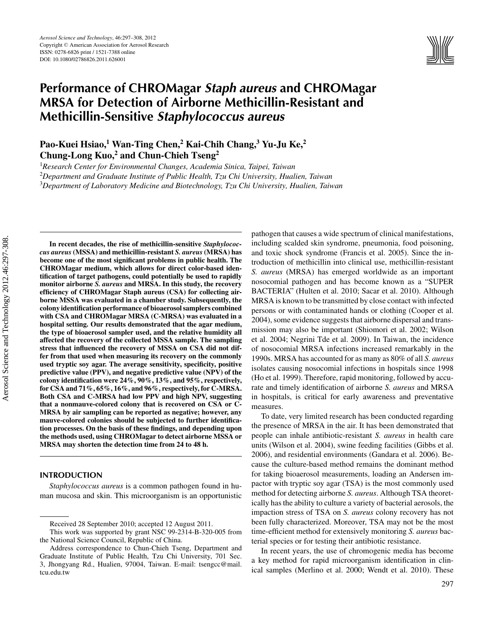

# **Performance of CHROMagar** *Staph aureus* **and CHROMagar MRSA for Detection of Airborne Methicillin-Resistant and Methicillin-Sensitive** *Staphylococcus aureus*

**Pao-Kuei Hsiao,1 Wan-Ting Chen,2 Kai-Chih Chang,<sup>3</sup> Yu-Ju Ke,<sup>2</sup> Chung-Long Kuo,2 and Chun-Chieh Tseng<sup>2</sup>**

1 *Research Center for Environmental Changes, Academia Sinica, Taipei, Taiwan* 2 *Department and Graduate Institute of Public Health, Tzu Chi University, Hualien, Taiwan* 3 *Department of Laboratory Medicine and Biotechnology, Tzu Chi University, Hualien, Taiwan*

**In recent decades, the rise of methicillin-sensitive** *Staphylococcus aureus***(MSSA) and methicillin-resistant** *S. aureus***(MRSA) has become one of the most significant problems in public health. The CHROMagar medium, which allows for direct color-based identification of target pathogens, could potentially be used to rapidly monitor airborne** *S. aureus* **and MRSA. In this study, the recovery efficiency of CHROMagar Staph aureus (CSA) for collecting airborne MSSA was evaluated in a chamber study. Subsequently, the colony identification performance of bioaerosol samplers combined with CSA and CHROMagar MRSA (C-MRSA) was evaluated in a hospital setting. Our results demonstrated that the agar medium, the type of bioaerosol sampler used, and the relative humidity all affected the recovery of the collected MSSA sample. The sampling stress that influenced the recovery of MSSA on CSA did not differ from that used when measuring its recovery on the commonly used tryptic soy agar. The average sensitivity, specificity, positive predictive value (PPV), and negative predictive value (NPV) of the colony identification were 24%, 90%, 13%, and 95%, respectively, for CSA and 71%, 65%, 16%, and 96%, respectively, for C-MRSA. Both CSA and C-MRSA had low PPV and high NPV, suggesting that a nonmauve-colored colony that is recovered on CSA or C-MRSA by air sampling can be reported as negative; however, any mauve-colored colonies should be subjected to further identification processes. On the basis of these findings, and depending upon the methods used, using CHROMagar to detect airborne MSSA or MRSA may shorten the detection time from 24 to 48 h.**

# **INTRODUCTION**

*Staphylococcus aureus* is a common pathogen found in human mucosa and skin. This microorganism is an opportunistic pathogen that causes a wide spectrum of clinical manifestations, including scalded skin syndrome, pneumonia, food poisoning, and toxic shock syndrome (Francis et al. 2005). Since the introduction of methicillin into clinical use, methicillin-resistant *S. aureus* (MRSA) has emerged worldwide as an important nosocomial pathogen and has become known as a "SUPER BACTERIA" (Hulten et al. 2010; Sacar et al. 2010). Although MRSA is known to be transmitted by close contact with infected persons or with contaminated hands or clothing (Cooper et al. 2004), some evidence suggests that airborne dispersal and transmission may also be important (Shiomori et al. 2002; Wilson et al. 2004; Negrini Tde et al. 2009). In Taiwan, the incidence of nosocomial MRSA infections increased remarkably in the 1990s. MRSA has accounted for as many as 80% of all *S. aureus* isolates causing nosocomial infections in hospitals since 1998 (Ho et al. 1999). Therefore, rapid monitoring, followed by accurate and timely identification of airborne *S. aureus* and MRSA in hospitals, is critical for early awareness and preventative measures.

To date, very limited research has been conducted regarding the presence of MRSA in the air. It has been demonstrated that people can inhale antibiotic-resistant *S. aureus* in health care units (Wilson et al. 2004), swine feeding facilities (Gibbs et al. 2006), and residential environments (Gandara et al. 2006). Because the culture-based method remains the dominant method for taking bioaerosol measurements, loading an Andersen impactor with tryptic soy agar (TSA) is the most commonly used method for detecting airborne *S. aureus*. Although TSA theoretically has the ability to culture a variety of bacterial aerosols, the impaction stress of TSA on *S. aureus* colony recovery has not been fully characterized. Moreover, TSA may not be the most time-efficient method for extensively monitoring *S. aureus* bacterial species or for testing their antibiotic resistance.

In recent years, the use of chromogenic media has become a key method for rapid microorganism identification in clinical samples (Merlino et al. 2000; Wendt et al. 2010). These

Received 28 September 2010; accepted 12 August 2011.

This work was supported by grant NSC 99-2314-B-320-005 from the National Science Council, Republic of China.

Address correspondence to Chun-Chieh Tseng, Department and Graduate Institute of Public Health, Tzu Chi University, 701 Sec. 3, Jhongyang Rd., Hualien, 97004, Taiwan. E-mail: tsengcc@mail. tcu.edu.tw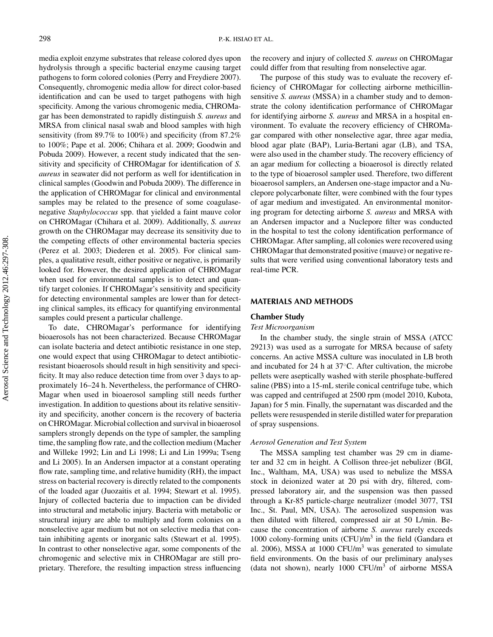media exploit enzyme substrates that release colored dyes upon hydrolysis through a specific bacterial enzyme causing target pathogens to form colored colonies (Perry and Freydiere 2007). Consequently, chromogenic media allow for direct color-based identification and can be used to target pathogens with high specificity. Among the various chromogenic media, CHROMagar has been demonstrated to rapidly distinguish *S. aureus* and MRSA from clinical nasal swab and blood samples with high sensitivity (from 89.7% to 100%) and specificity (from 87.2% to 100%; Pape et al. 2006; Chihara et al. 2009; Goodwin and Pobuda 2009). However, a recent study indicated that the sensitivity and specificity of CHROMagar for identification of *S. aureus* in seawater did not perform as well for identification in clinical samples (Goodwin and Pobuda 2009). The difference in the application of CHROMagar for clinical and environmental samples may be related to the presence of some coagulasenegative *Staphylococcus* spp. that yielded a faint mauve color on CHROMagar (Chihara et al. 2009). Additionally, *S. aureus* growth on the CHROMagar may decrease its sensitivity due to the competing effects of other environmental bacteria species (Perez et al. 2003; Diederen et al. 2005). For clinical samples, a qualitative result, either positive or negative, is primarily looked for. However, the desired application of CHROMagar when used for environmental samples is to detect and quantify target colonies. If CHROMagar's sensitivity and specificity for detecting environmental samples are lower than for detecting clinical samples, its efficacy for quantifying environmental samples could present a particular challenge.

To date, CHROMagar's performance for identifying bioaerosols has not been characterized. Because CHROMagar can isolate bacteria and detect antibiotic resistance in one step, one would expect that using CHROMagar to detect antibioticresistant bioaerosols should result in high sensitivity and specificity. It may also reduce detection time from over 3 days to approximately 16–24 h. Nevertheless, the performance of CHRO-Magar when used in bioaerosol sampling still needs further investigation. In addition to questions about its relative sensitivity and specificity, another concern is the recovery of bacteria on CHROMagar. Microbial collection and survival in bioaerosol samplers strongly depends on the type of sampler, the sampling time, the sampling flow rate, and the collection medium (Macher and Willeke 1992; Lin and Li 1998; Li and Lin 1999a; Tseng and Li 2005). In an Andersen impactor at a constant operating flow rate, sampling time, and relative humidity (RH), the impact stress on bacterial recovery is directly related to the components of the loaded agar (Juozaitis et al. 1994; Stewart et al. 1995). Injury of collected bacteria due to impaction can be divided into structural and metabolic injury. Bacteria with metabolic or structural injury are able to multiply and form colonies on a nonselective agar medium but not on selective media that contain inhibiting agents or inorganic salts (Stewart et al. 1995). In contrast to other nonselective agar, some components of the chromogenic and selective mix in CHROMagar are still proprietary. Therefore, the resulting impaction stress influencing

the recovery and injury of collected *S. aureus* on CHROMagar could differ from that resulting from nonselective agar.

The purpose of this study was to evaluate the recovery efficiency of CHROMagar for collecting airborne methicillinsensitive *S. aureus* (MSSA) in a chamber study and to demonstrate the colony identification performance of CHROMagar for identifying airborne *S. aureus* and MRSA in a hospital environment. To evaluate the recovery efficiency of CHROMagar compared with other nonselective agar, three agar media, blood agar plate (BAP), Luria-Bertani agar (LB), and TSA, were also used in the chamber study. The recovery efficiency of an agar medium for collecting a bioaerosol is directly related to the type of bioaerosol sampler used. Therefore, two different bioaerosol samplers, an Andersen one-stage impactor and a Nuclepore polycarbonate filter, were combined with the four types of agar medium and investigated. An environmental monitoring program for detecting airborne *S. aureus* and MRSA with an Andersen impactor and a Nuclepore filter was conducted in the hospital to test the colony identification performance of CHROMagar. After sampling, all colonies were recovered using CHROMagar that demonstrated positive (mauve) or negative results that were verified using conventional laboratory tests and real-time PCR.

### **MATERIALS AND METHODS**

#### **Chamber Study**

#### *Test Microorganism*

In the chamber study, the single strain of MSSA (ATCC 29213) was used as a surrogate for MRSA because of safety concerns. An active MSSA culture was inoculated in LB broth and incubated for 24 h at 37◦C. After cultivation, the microbe pellets were aseptically washed with sterile phosphate-buffered saline (PBS) into a 15-mL sterile conical centrifuge tube, which was capped and centrifuged at 2500 rpm (model 2010, Kubota, Japan) for 5 min. Finally, the supernatant was discarded and the pellets were resuspended in sterile distilled water for preparation of spray suspensions.

### *Aerosol Generation and Test System*

The MSSA sampling test chamber was 29 cm in diameter and 32 cm in height. A Collison three-jet nebulizer (BGI, Inc., Waltham, MA, USA) was used to nebulize the MSSA stock in deionized water at 20 psi with dry, filtered, compressed laboratory air, and the suspension was then passed through a Kr-85 particle-charge neutralizer (model 3077, TSI Inc., St. Paul, MN, USA). The aerosolized suspension was then diluted with filtered, compressed air at 50 L/min. Because the concentration of airborne *S. aureus* rarely exceeds 1000 colony-forming units  $(CFU)/m^3$  in the field (Gandara et al. 2006), MSSA at  $1000$  CFU/m<sup>3</sup> was generated to simulate field environments. On the basis of our preliminary analyses (data not shown), nearly  $1000 \text{ CFU/m}^3$  of airborne MSSA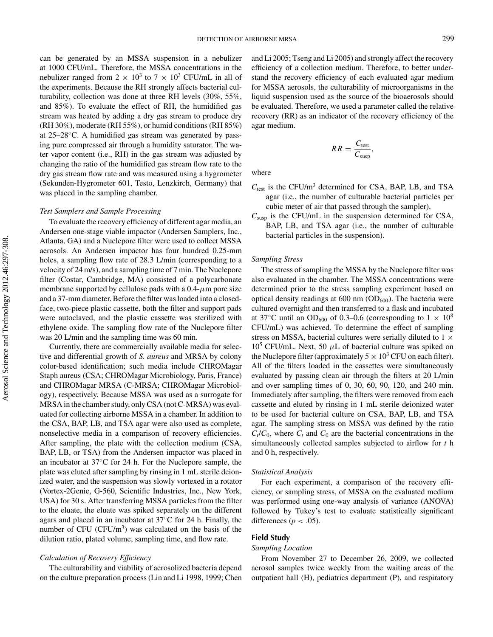can be generated by an MSSA suspension in a nebulizer at 1000 CFU/mL. Therefore, the MSSA concentrations in the nebulizer ranged from  $2 \times 10^3$  to  $7 \times 10^3$  CFU/mL in all of the experiments. Because the RH strongly affects bacterial culturability, collection was done at three RH levels (30%, 55%, and 85%). To evaluate the effect of RH, the humidified gas stream was heated by adding a dry gas stream to produce dry (RH 30%), moderate (RH 55%), or humid conditions (RH 85%) at 25–28◦C. A humidified gas stream was generated by passing pure compressed air through a humidity saturator. The water vapor content (i.e., RH) in the gas stream was adjusted by changing the ratio of the humidified gas stream flow rate to the dry gas stream flow rate and was measured using a hygrometer (Sekunden-Hygrometer 601, Testo, Lenzkirch, Germany) that was placed in the sampling chamber.

#### *Test Samplers and Sample Processing*

To evaluate the recovery efficiency of different agar media, an Andersen one-stage viable impactor (Andersen Samplers, Inc., Atlanta, GA) and a Nuclepore filter were used to collect MSSA aerosols. An Andersen impactor has four hundred 0.25-mm holes, a sampling flow rate of 28.3 L/min (corresponding to a velocity of 24 m/s), and a sampling time of 7 min. The Nuclepore filter (Costar, Cambridge, MA) consisted of a polycarbonate membrane supported by cellulose pads with a  $0.4$ - $\mu$ m pore size and a 37-mm diameter. Before the filter was loaded into a closedface, two-piece plastic cassette, both the filter and support pads were autoclaved, and the plastic cassette was sterilized with ethylene oxide. The sampling flow rate of the Nuclepore filter was 20 L/min and the sampling time was 60 min.

Currently, there are commercially available media for selective and differential growth of *S. aureus* and MRSA by colony color-based identification; such media include CHROMagar Staph aureus (CSA; CHROMagar Microbiology, Paris, France) and CHROMagar MRSA (C-MRSA; CHROMagar Microbiology), respectively. Because MSSA was used as a surrogate for MRSA in the chamber study, only CSA (not C-MRSA) was evaluated for collecting airborne MSSA in a chamber. In addition to the CSA, BAP, LB, and TSA agar were also used as complete, nonselective media in a comparison of recovery efficiencies. After sampling, the plate with the collection medium (CSA, BAP, LB, or TSA) from the Andersen impactor was placed in an incubator at 37◦C for 24 h. For the Nuclepore sample, the plate was eluted after sampling by rinsing in 1 mL sterile deionized water, and the suspension was slowly vortexed in a rotator (Vortex-2Genie, G-560, Scientific Industries, Inc., New York, USA) for 30 s. After transferring MSSA particles from the filter to the eluate, the eluate was spiked separately on the different agars and placed in an incubator at 37◦C for 24 h. Finally, the number of CFU (CFU/m<sup>3</sup>) was calculated on the basis of the dilution ratio, plated volume, sampling time, and flow rate.

#### *Calculation of Recovery Efficiency*

The culturability and viability of aerosolized bacteria depend on the culture preparation process (Lin and Li 1998, 1999; Chen and Li 2005; Tseng and Li 2005) and strongly affect the recovery efficiency of a collection medium. Therefore, to better understand the recovery efficiency of each evaluated agar medium for MSSA aerosols, the culturability of microorganisms in the liquid suspension used as the source of the bioaerosols should be evaluated. Therefore, we used a parameter called the relative recovery (RR) as an indicator of the recovery efficiency of the agar medium.

$$
RR = \frac{C_{\text{test}}}{C_{\text{susp}}},
$$

where

- *C*test is the CFU/m3 determined for CSA, BAP, LB, and TSA agar (i.e., the number of culturable bacterial particles per cubic meter of air that passed through the sampler),
- $C<sub>susp</sub>$  is the CFU/mL in the suspension determined for CSA, BAP, LB, and TSA agar (i.e., the number of culturable bacterial particles in the suspension).

#### *Sampling Stress*

The stress of sampling the MSSA by the Nuclepore filter was also evaluated in the chamber. The MSSA concentrations were determined prior to the stress sampling experiment based on optical density readings at 600 nm  $(OD_{600})$ . The bacteria were cultured overnight and then transferred to a flask and incubated at 37°C until an OD<sub>600</sub> of 0.3–0.6 (corresponding to  $1 \times 10^8$ CFU/mL) was achieved. To determine the effect of sampling stress on MSSA, bacterial cultures were serially diluted to 1  $\times$  $10^5$  CFU/mL. Next, 50  $\mu$ L of bacterial culture was spiked on the Nuclepore filter (approximately  $5 \times 10^3$  CFU on each filter). All of the filters loaded in the cassettes were simultaneously evaluated by passing clean air through the filters at 20 L/min and over sampling times of 0, 30, 60, 90, 120, and 240 min. Immediately after sampling, the filters were removed from each cassette and eluted by rinsing in 1 mL sterile deionized water to be used for bacterial culture on CSA, BAP, LB, and TSA agar. The sampling stress on MSSA was defined by the ratio  $C_t/C_0$ , where  $C_t$  and  $C_0$  are the bacterial concentrations in the simultaneously collected samples subjected to airflow for *t* h and 0 h, respectively.

#### *Statistical Analysis*

For each experiment, a comparison of the recovery efficiency, or sampling stress, of MSSA on the evaluated medium was performed using one-way analysis of variance (ANOVA) followed by Tukey's test to evaluate statistically significant differences ( $p < .05$ ).

# **Field Study**

### *Sampling Location*

From November 27 to December 26, 2009, we collected aerosol samples twice weekly from the waiting areas of the outpatient hall (H), pediatrics department (P), and respiratory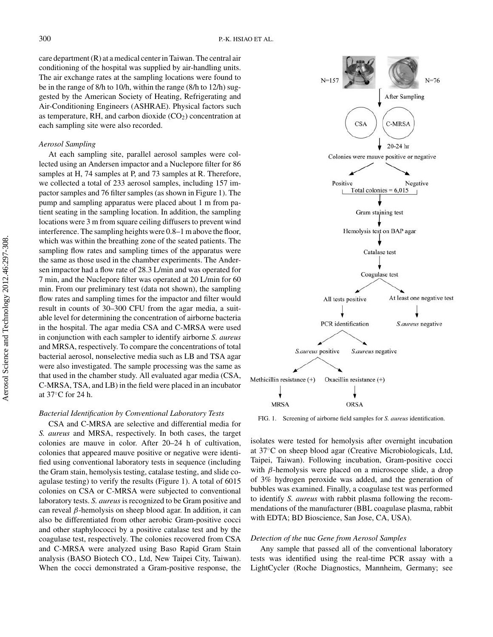care department (R) at a medical center in Taiwan. The central air conditioning of the hospital was supplied by air-handling units. The air exchange rates at the sampling locations were found to be in the range of 8/h to 10/h, within the range (8/h to 12/h) suggested by the American Society of Heating, Refrigerating and Air-Conditioning Engineers (ASHRAE). Physical factors such as temperature, RH, and carbon dioxide  $(CO<sub>2</sub>)$  concentration at each sampling site were also recorded.

#### *Aerosol Sampling*

At each sampling site, parallel aerosol samples were collected using an Andersen impactor and a Nuclepore filter for 86 samples at H, 74 samples at P, and 73 samples at R. Therefore, we collected a total of 233 aerosol samples, including 157 impactor samples and 76 filter samples (as shown in Figure 1). The pump and sampling apparatus were placed about 1 m from patient seating in the sampling location. In addition, the sampling locations were 3 m from square ceiling diffusers to prevent wind interference. The sampling heights were 0.8–1 m above the floor, which was within the breathing zone of the seated patients. The sampling flow rates and sampling times of the apparatus were the same as those used in the chamber experiments. The Andersen impactor had a flow rate of 28.3 L/min and was operated for 7 min, and the Nuclepore filter was operated at 20 L/min for 60 min. From our preliminary test (data not shown), the sampling flow rates and sampling times for the impactor and filter would result in counts of 30–300 CFU from the agar media, a suitable level for determining the concentration of airborne bacteria in the hospital. The agar media CSA and C-MRSA were used in conjunction with each sampler to identify airborne *S. aureus* and MRSA, respectively. To compare the concentrations of total bacterial aerosol, nonselective media such as LB and TSA agar were also investigated. The sample processing was the same as that used in the chamber study. All evaluated agar media (CSA, C-MRSA, TSA, and LB) in the field were placed in an incubator at 37◦C for 24 h.

### *Bacterial Identification by Conventional Laboratory Tests*

CSA and C-MRSA are selective and differential media for *S. aureus* and MRSA, respectively. In both cases, the target colonies are mauve in color. After 20–24 h of cultivation, colonies that appeared mauve positive or negative were identified using conventional laboratory tests in sequence (including the Gram stain, hemolysis testing, catalase testing, and slide coagulase testing) to verify the results (Figure 1). A total of 6015 colonies on CSA or C-MRSA were subjected to conventional laboratory tests. *S. aureus* is recognized to be Gram positive and can reveal β-hemolysis on sheep blood agar. In addition, it can also be differentiated from other aerobic Gram-positive cocci and other staphylococci by a positive catalase test and by the coagulase test, respectively. The colonies recovered from CSA and C-MRSA were analyzed using Baso Rapid Gram Stain analysis (BASO Biotech CO., Ltd, New Taipei City, Taiwan). When the cocci demonstrated a Gram-positive response, the



FIG. 1. Screening of airborne field samples for *S. aureus* identification.

isolates were tested for hemolysis after overnight incubation at 37◦C on sheep blood agar (Creative Microbiologicals, Ltd, Taipei, Taiwan). Following incubation, Gram-positive cocci with  $\beta$ -hemolysis were placed on a microscope slide, a drop of 3% hydrogen peroxide was added, and the generation of bubbles was examined. Finally, a coagulase test was performed to identify *S. aureus* with rabbit plasma following the recommendations of the manufacturer (BBL coagulase plasma, rabbit with EDTA; BD Bioscience, San Jose, CA, USA).

#### *Detection of the* nuc *Gene from Aerosol Samples*

Any sample that passed all of the conventional laboratory tests was identified using the real-time PCR assay with a LightCycler (Roche Diagnostics, Mannheim, Germany; see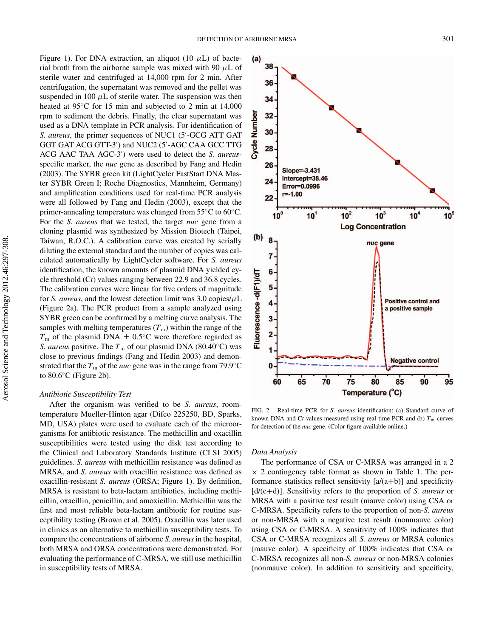Figure 1). For DNA extraction, an aliquot (10  $\mu$ L) of bacterial broth from the airborne sample was mixed with 90  $\mu$ L of sterile water and centrifuged at 14,000 rpm for 2 min. After centrifugation, the supernatant was removed and the pellet was suspended in 100  $\mu$ L of sterile water. The suspension was then heated at 95<sup>°</sup>C for 15 min and subjected to 2 min at 14,000 rpm to sediment the debris. Finally, the clear supernatant was used as a DNA template in PCR analysis. For identification of *S. aureus*, the primer sequences of NUC1 (5 -GCG ATT GAT GGT GAT ACG GTT-3 ) and NUC2 (5 -AGC CAA GCC TTG ACG AAC TAA AGC-3 ) were used to detect the *S. aureus*specific marker, the *nuc* gene as described by Fang and Hedin (2003). The SYBR green kit (LightCycler FastStart DNA Master SYBR Green I; Roche Diagnostics, Mannheim, Germany) and amplification conditions used for real-time PCR analysis were all followed by Fang and Hedin (2003), except that the primer-annealing temperature was changed from 55◦C to 60◦C. For the *S. aureus* that we tested, the target *nuc* gene from a cloning plasmid was synthesized by Mission Biotech (Taipei, Taiwan, R.O.C.). A calibration curve was created by serially diluting the external standard and the number of copies was calculated automatically by LightCycler software. For *S. aureus* identification, the known amounts of plasmid DNA yielded cycle threshold (C*t*) values ranging between 22.9 and 36.8 cycles. The calibration curves were linear for five orders of magnitude for *S. aureus*, and the lowest detection limit was  $3.0$  copies/ $\mu$ L (Figure 2a). The PCR product from a sample analyzed using SYBR green can be confirmed by a melting curve analysis. The samples with melting temperatures  $(T<sub>m</sub>)$  within the range of the  $T<sub>m</sub>$  of the plasmid DNA  $\pm$  0.5°C were therefore regarded as *S. aureus* positive. The  $T<sub>m</sub>$  of our plasmid DNA (80.40°C) was close to previous findings (Fang and Hedin 2003) and demonstrated that the  $T<sub>m</sub>$  of the *nuc* gene was in the range from 79.9<sup>°</sup>C to 80.6◦C (Figure 2b).

#### *Antibiotic Susceptibility Test*

After the organism was verified to be *S. aureus*, roomtemperature Mueller-Hinton agar (Difco 225250, BD, Sparks, MD, USA) plates were used to evaluate each of the microorganisms for antibiotic resistance. The methicillin and oxacillin susceptibilities were tested using the disk test according to the Clinical and Laboratory Standards Institute (CLSI 2005) guidelines. *S. aureus* with methicillin resistance was defined as MRSA, and *S. aureus* with oxacillin resistance was defined as oxacillin-resistant *S. aureus* (ORSA; Figure 1). By definition, MRSA is resistant to beta-lactam antibiotics, including methicillin, oxacillin, penicillin, and amoxicillin. Methicillin was the first and most reliable beta-lactam antibiotic for routine susceptibility testing (Brown et al. 2005). Oxacillin was later used in clinics as an alternative to methicillin susceptibility tests. To compare the concentrations of airborne *S. aureus*in the hospital, both MRSA and ORSA concentrations were demonstrated. For evaluating the performance of C-MRSA, we still use methicillin in susceptibility tests of MRSA.



FIG. 2. Real-time PCR for *S. aureus* identification: (a) Standard curve of known DNA and Ct values measured using real-time PCR and (b)  $T<sub>m</sub>$  curves for detection of the *nuc* gene. (Color figure available online.)

# *Data Analysis*

The performance of CSA or C-MRSA was arranged in a 2  $\times$  2 contingency table format as shown in Table 1. The performance statistics reflect sensitivity  $[a/(a+b)]$  and specificity [d/(c+d)]. Sensitivity refers to the proportion of *S. aureus* or MRSA with a positive test result (mauve color) using CSA or C-MRSA. Specificity refers to the proportion of non-*S. aureus* or non-MRSA with a negative test result (nonmauve color) using CSA or C-MRSA. A sensitivity of 100% indicates that CSA or C-MRSA recognizes all *S. aureus* or MRSA colonies (mauve color). A specificity of 100% indicates that CSA or C-MRSA recognizes all non-*S. aureus* or non-MRSA colonies (nonmauve color). In addition to sensitivity and specificity,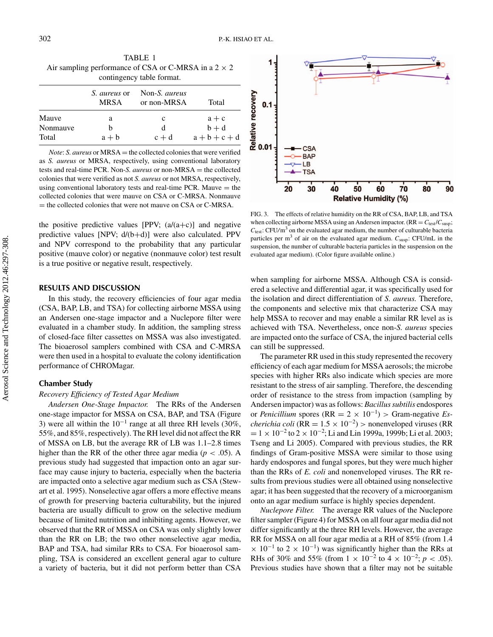| contingency table format. |                                    |                                     |           |  |  |
|---------------------------|------------------------------------|-------------------------------------|-----------|--|--|
|                           | <i>S. aureus</i> or<br><b>MRSA</b> | Non-S. <i>aureus</i><br>or non-MRSA | Total     |  |  |
| Mauve                     | a                                  | c                                   | $a + c$   |  |  |
| Nonmauve                  | h                                  | d                                   | $b + d$   |  |  |
| Total                     | $a + b$                            | $c + d$                             | $a+b+c+d$ |  |  |

TABLE 1 Air sampling performance of CSA or C-MRSA in a  $2 \times 2$ 

*Note*: *S. aureus* or MRSA = the collected colonies that were verified as *S. aureus* or MRSA, respectively, using conventional laboratory tests and real-time PCR. Non-*S. aureus* or non-MRSA = the collected colonies that were verified as not *S. aureus* or not MRSA, respectively, using conventional laboratory tests and real-time PCR. Mauve  $=$  the collected colonies that were mauve on CSA or C-MRSA. Nonmauve = the collected colonies that were not mauve on CSA or C-MRSA.

the positive predictive values [PPV;  $(a/(a+c))$ ] and negative predictive values [NPV; d/(b+d)] were also calculated. PPV and NPV correspond to the probability that any particular positive (mauve color) or negative (nonmauve color) test result is a true positive or negative result, respectively.

#### **RESULTS AND DISCUSSION**

In this study, the recovery efficiencies of four agar media (CSA, BAP, LB, and TSA) for collecting airborne MSSA using an Andersen one-stage impactor and a Nuclepore filter were evaluated in a chamber study. In addition, the sampling stress of closed-face filter cassettes on MSSA was also investigated. The bioaerosol samplers combined with CSA and C-MRSA were then used in a hospital to evaluate the colony identification performance of CHROMagar.

#### **Chamber Study**

#### *Recovery Efficiency of Tested Agar Medium*

*Andersen One-Stage Impactor.* The RRs of the Andersen one-stage impactor for MSSA on CSA, BAP, and TSA (Figure 3) were all within the  $10^{-1}$  range at all three RH levels (30%, 55%, and 85%, respectively). The RH level did not affect the RR of MSSA on LB, but the average RR of LB was 1.1–2.8 times higher than the RR of the other three agar media ( $p < .05$ ). A previous study had suggested that impaction onto an agar surface may cause injury to bacteria, especially when the bacteria are impacted onto a selective agar medium such as CSA (Stewart et al. 1995). Nonselective agar offers a more effective means of growth for preserving bacteria culturability, but the injured bacteria are usually difficult to grow on the selective medium because of limited nutrition and inhibiting agents. However, we observed that the RR of MSSA on CSA was only slightly lower than the RR on LB; the two other nonselective agar media, BAP and TSA, had similar RRs to CSA. For bioaerosol sampling, TSA is considered an excellent general agar to culture a variety of bacteria, but it did not perform better than CSA



FIG. 3. The effects of relative humidity on the RR of CSA, BAP, LB, and TSA when collecting airborne MSSA using an Andersen impactor.  $(RR = C_{test}/C_{susp};$ *C*<sub>test</sub>: CFU/m<sup>3</sup> on the evaluated agar medium, the number of culturable bacteria particles per  $m<sup>3</sup>$  of air on the evaluated agar medium.  $C_{\text{susp}}$ : CFU/mL in the suspension, the number of culturable bacteria particles in the suspension on the evaluated agar medium). (Color figure available online.)

when sampling for airborne MSSA. Although CSA is considered a selective and differential agar, it was specifically used for the isolation and direct differentiation of *S. aureus.* Therefore, the components and selective mix that characterize CSA may help MSSA to recover and may enable a similar RR level as is achieved with TSA. Nevertheless, once non-*S. aureus* species are impacted onto the surface of CSA, the injured bacterial cells can still be suppressed.

The parameter RR used in this study represented the recovery efficiency of each agar medium for MSSA aerosols; the microbe species with higher RRs also indicate which species are more resistant to the stress of air sampling. Therefore, the descending order of resistance to the stress from impaction (sampling by Andersen impactor) was as follows: *Bacillus subtilis* endospores or *Penicillium* spores (RR =  $2 \times 10^{-1}$ ) > Gram-negative *Escherichia coli* (RR =  $1.5 \times 10^{-2}$ ) > nonenveloped viruses (RR  $= 1 \times 10^{-2}$  to  $2 \times 10^{-2}$ ; Li and Lin 1999a, 1999b; Li et al. 2003; Tseng and Li 2005). Compared with previous studies, the RR findings of Gram-positive MSSA were similar to those using hardy endospores and fungal spores, but they were much higher than the RRs of *E. coli* and nonenveloped viruses. The RR results from previous studies were all obtained using nonselective agar; it has been suggested that the recovery of a microorganism onto an agar medium surface is highly species dependent.

*Nuclepore Filter.* The average RR values of the Nuclepore filter sampler (Figure 4) for MSSA on all four agar media did not differ significantly at the three RH levels. However, the average RR for MSSA on all four agar media at a RH of 85% (from 1.4  $\times$  10<sup>-1</sup> to 2 × 10<sup>-1</sup>) was significantly higher than the RRs at RHs of 30% and 55% (from  $1 \times 10^{-2}$  to  $4 \times 10^{-2}$ ;  $p < .05$ ). Previous studies have shown that a filter may not be suitable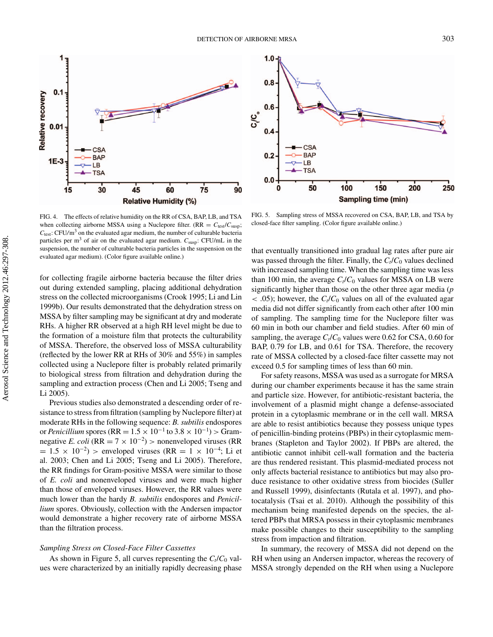

FIG. 4. The effects of relative humidity on the RR of CSA, BAP, LB, and TSA when collecting airborne MSSA using a Nuclepore filter.  $(RR = C_{test}/C_{susp})$ ;  $C_{test}$ : CFU/m<sup>3</sup> on the evaluated agar medium, the number of culturable bacteria particles per  $m<sup>3</sup>$  of air on the evaluated agar medium.  $C_{\text{susp}}$ : CFU/mL in the suspension, the number of culturable bacteria particles in the suspension on the evaluated agar medium). (Color figure available online.)

for collecting fragile airborne bacteria because the filter dries out during extended sampling, placing additional dehydration stress on the collected microorganisms (Crook 1995; Li and Lin 1999b). Our results demonstrated that the dehydration stress on MSSA by filter sampling may be significant at dry and moderate RHs. A higher RR observed at a high RH level might be due to the formation of a moisture film that protects the culturability of MSSA. Therefore, the observed loss of MSSA culturability (reflected by the lower RR at RHs of 30% and 55%) in samples collected using a Nuclepore filter is probably related primarily to biological stress from filtration and dehydration during the sampling and extraction process (Chen and Li 2005; Tseng and Li 2005).

Previous studies also demonstrated a descending order of resistance to stress from filtration (sampling by Nuclepore filter) at moderate RHs in the following sequence: *B. subtilis* endospores or *Penicillium* spores (RR =  $1.5 \times 10^{-1}$  to  $3.8 \times 10^{-1}$ ) > Gramnegative *E. coli* (RR =  $7 \times 10^{-2}$ ) > nonenveloped viruses (RR  $= 1.5 \times 10^{-2}$ ) > enveloped viruses (RR = 1 × 10<sup>-4</sup>; Li et al. 2003; Chen and Li 2005; Tseng and Li 2005). Therefore, the RR findings for Gram-positive MSSA were similar to those of *E. coli* and nonenveloped viruses and were much higher than those of enveloped viruses. However, the RR values were much lower than the hardy *B. subtilis* endospores and *Penicillium* spores. Obviously, collection with the Andersen impactor would demonstrate a higher recovery rate of airborne MSSA than the filtration process.

# *Sampling Stress on Closed-Face Filter Cassettes*

As shown in Figure 5, all curves representing the  $C_t/C_0$  values were characterized by an initially rapidly decreasing phase



FIG. 5. Sampling stress of MSSA recovered on CSA, BAP, LB, and TSA by closed-face filter sampling. (Color figure available online.)

that eventually transitioned into gradual lag rates after pure air was passed through the filter. Finally, the  $C_t/C_0$  values declined with increased sampling time. When the sampling time was less than 100 min, the average  $C_t/C_0$  values for MSSA on LB were significantly higher than those on the other three agar media (*p*  $<$  0.05); however, the  $C_t/C_0$  values on all of the evaluated agar media did not differ significantly from each other after 100 min of sampling. The sampling time for the Nuclepore filter was 60 min in both our chamber and field studies. After 60 min of sampling, the average  $C_t/C_0$  values were 0.62 for CSA, 0.60 for BAP, 0.79 for LB, and 0.61 for TSA. Therefore, the recovery rate of MSSA collected by a closed-face filter cassette may not exceed 0.5 for sampling times of less than 60 min.

For safety reasons, MSSA was used as a surrogate for MRSA during our chamber experiments because it has the same strain and particle size. However, for antibiotic-resistant bacteria, the involvement of a plasmid might change a defense-associated protein in a cytoplasmic membrane or in the cell wall. MRSA are able to resist antibiotics because they possess unique types of penicillin-binding proteins (PBPs) in their cytoplasmic membranes (Stapleton and Taylor 2002). If PBPs are altered, the antibiotic cannot inhibit cell-wall formation and the bacteria are thus rendered resistant. This plasmid-mediated process not only affects bacterial resistance to antibiotics but may also produce resistance to other oxidative stress from biocides (Suller and Russell 1999), disinfectants (Rutala et al. 1997), and photocatalysis (Tsai et al. 2010). Although the possibility of this mechanism being manifested depends on the species, the altered PBPs that MRSA possess in their cytoplasmic membranes make possible changes to their susceptibility to the sampling stress from impaction and filtration.

In summary, the recovery of MSSA did not depend on the RH when using an Andersen impactor, whereas the recovery of MSSA strongly depended on the RH when using a Nuclepore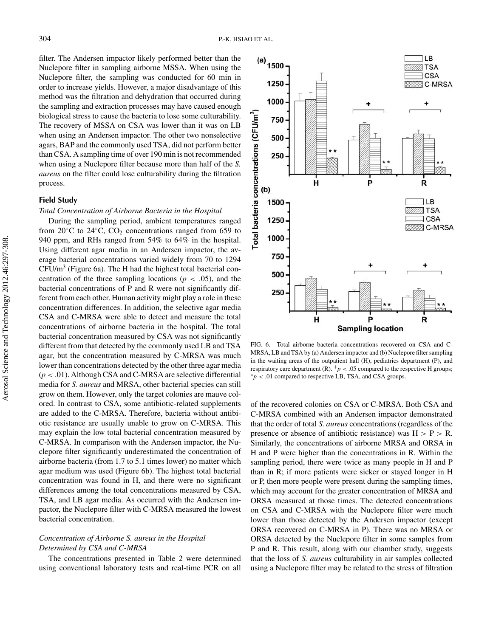filter. The Andersen impactor likely performed better than the Nuclepore filter in sampling airborne MSSA. When using the Nuclepore filter, the sampling was conducted for 60 min in order to increase yields. However, a major disadvantage of this method was the filtration and dehydration that occurred during the sampling and extraction processes may have caused enough biological stress to cause the bacteria to lose some culturability. The recovery of MSSA on CSA was lower than it was on LB when using an Andersen impactor. The other two nonselective agars, BAP and the commonly used TSA, did not perform better than CSA. A sampling time of over 190 min is not recommended when using a Nuclepore filter because more than half of the *S. aureus* on the filter could lose culturability during the filtration process.

#### **Field Study**

#### *Total Concentration of Airborne Bacteria in the Hospital*

During the sampling period, ambient temperatures ranged from 20 $\degree$ C to 24 $\degree$ C, CO<sub>2</sub> concentrations ranged from 659 to 940 ppm, and RHs ranged from 54% to 64% in the hospital. Using different agar media in an Andersen impactor, the average bacterial concentrations varied widely from 70 to 1294  $CFU/m<sup>3</sup>$  (Figure 6a). The H had the highest total bacterial concentration of the three sampling locations ( $p < .05$ ), and the bacterial concentrations of P and R were not significantly different from each other. Human activity might play a role in these concentration differences. In addition, the selective agar media CSA and C-MRSA were able to detect and measure the total concentrations of airborne bacteria in the hospital. The total bacterial concentration measured by CSA was not significantly different from that detected by the commonly used LB and TSA agar, but the concentration measured by C-MRSA was much lower than concentrations detected by the other three agar media (*p* < .01). Although CSA and C-MRSA are selective differential media for *S. aureus* and MRSA, other bacterial species can still grow on them. However, only the target colonies are mauve colored. In contrast to CSA, some antibiotic-related supplements are added to the C-MRSA. Therefore, bacteria without antibiotic resistance are usually unable to grow on C-MRSA. This may explain the low total bacterial concentration measured by C-MRSA. In comparison with the Andersen impactor, the Nuclepore filter significantly underestimated the concentration of airborne bacteria (from 1.7 to 5.1 times lower) no matter which agar medium was used (Figure 6b). The highest total bacterial concentration was found in H, and there were no significant differences among the total concentrations measured by CSA, TSA, and LB agar media. As occurred with the Andersen impactor, the Nuclepore filter with C-MRSA measured the lowest bacterial concentration.

# *Concentration of Airborne S. aureus in the Hospital Determined by CSA and C-MRSA*

The concentrations presented in Table 2 were determined using conventional laboratory tests and real-time PCR on all



FIG. 6. Total airborne bacteria concentrations recovered on CSA and C-MRSA, LB and TSA by (a) Andersen impactor and (b) Nuclepore filter sampling in the waiting areas of the outpatient hall (H), pediatrics department (P), and respiratory care department (R).  $+p < .05$  compared to the respective H groups; ∗*p* < .01 compared to respective LB, TSA, and CSA groups.

of the recovered colonies on CSA or C-MRSA. Both CSA and C-MRSA combined with an Andersen impactor demonstrated that the order of total *S. aureus* concentrations (regardless of the presence or absence of antibiotic resistance) was  $H > P > R$ . Similarly, the concentrations of airborne MRSA and ORSA in H and P were higher than the concentrations in R. Within the sampling period, there were twice as many people in H and P than in R; if more patients were sicker or stayed longer in H or P, then more people were present during the sampling times, which may account for the greater concentration of MRSA and ORSA measured at those times. The detected concentrations on CSA and C-MRSA with the Nuclepore filter were much lower than those detected by the Andersen impactor (except ORSA recovered on C-MRSA in P). There was no MRSA or ORSA detected by the Nuclepore filter in some samples from P and R. This result, along with our chamber study, suggests that the loss of *S. aureus* culturability in air samples collected using a Nuclepore filter may be related to the stress of filtration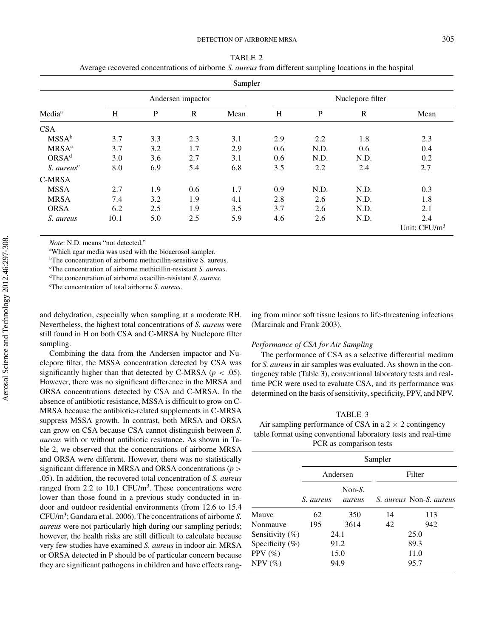| Sampler                 |                   |              |     |                  |     |           |             |                 |
|-------------------------|-------------------|--------------|-----|------------------|-----|-----------|-------------|-----------------|
| Media <sup>a</sup>      | Andersen impactor |              |     | Nuclepore filter |     |           |             |                 |
|                         | H                 | $\mathbf{P}$ | R   | Mean             | H   | ${\bf P}$ | $\mathbf R$ | Mean            |
| CSA.                    |                   |              |     |                  |     |           |             |                 |
| MSSA <sup>b</sup>       | 3.7               | 3.3          | 2.3 | 3.1              | 2.9 | 2.2       | 1.8         | 2.3             |
| <b>MRSA<sup>c</sup></b> | 3.7               | 3.2          | 1.7 | 2.9              | 0.6 | N.D.      | 0.6         | 0.4             |
| ORSA <sup>d</sup>       | 3.0               | 3.6          | 2.7 | 3.1              | 0.6 | N.D.      | N.D.        | 0.2             |
| S. aureus <sup>e</sup>  | 8.0               | 6.9          | 5.4 | 6.8              | 3.5 | 2.2       | 2.4         | 2.7             |
| C-MRSA                  |                   |              |     |                  |     |           |             |                 |
| <b>MSSA</b>             | 2.7               | 1.9          | 0.6 | 1.7              | 0.9 | N.D.      | N.D.        | 0.3             |
| <b>MRSA</b>             | 7.4               | 3.2          | 1.9 | 4.1              | 2.8 | 2.6       | N.D.        | 1.8             |
| <b>ORSA</b>             | 6.2               | 2.5          | 1.9 | 3.5              | 3.7 | 2.6       | N.D.        | 2.1             |
| S. aureus               | 10.1              | 5.0          | 2.5 | 5.9              | 4.6 | 2.6       | N.D.        | 2.4             |
|                         |                   |              |     |                  |     |           |             | Unit: $CFU/m^3$ |

TABLE 2 Average recovered concentrations of airborne *S. aureus* from different sampling locations in the hospital

*Note*: N.D. means "not detected."

<sup>a</sup>Which agar media was used with the bioaerosol sampler.

b The concentration of airborne methicillin-sensitive S. aureus.

c The concentration of airborne methicillin-resistant *S. aureus*.

d The concentration of airborne oxacillin-resistant *S. aureus.*

e The concentration of total airborne *S. aureus*.

and dehydration, especially when sampling at a moderate RH. Nevertheless, the highest total concentrations of *S. aureus* were still found in H on both CSA and C-MRSA by Nuclepore filter sampling.

Combining the data from the Andersen impactor and Nuclepore filter, the MSSA concentration detected by CSA was significantly higher than that detected by C-MRSA ( $p < .05$ ). However, there was no significant difference in the MRSA and ORSA concentrations detected by CSA and C-MRSA. In the absence of antibiotic resistance, MSSA is difficult to grow on C-MRSA because the antibiotic-related supplements in C-MRSA suppress MSSA growth. In contrast, both MRSA and ORSA can grow on CSA because CSA cannot distinguish between *S. aureus* with or without antibiotic resistance. As shown in Table 2, we observed that the concentrations of airborne MRSA and ORSA were different. However, there was no statistically significant difference in MRSA and ORSA concentrations (*p* > .05). In addition, the recovered total concentration of *S. aureus* ranged from 2.2 to 10.1  $CFU/m<sup>3</sup>$ . These concentrations were lower than those found in a previous study conducted in indoor and outdoor residential environments (from 12.6 to 15.4 CFU/m3 ; Gandara et al. 2006). The concentrations of airborne *S. aureus* were not particularly high during our sampling periods; however, the health risks are still difficult to calculate because very few studies have examined *S. aureus* in indoor air. MRSA or ORSA detected in P should be of particular concern because they are significant pathogens in children and have effects ranging from minor soft tissue lesions to life-threatening infections (Marcinak and Frank 2003).

#### *Performance of CSA for Air Sampling*

The performance of CSA as a selective differential medium for *S. aureus* in air samples was evaluated. As shown in the contingency table (Table 3), conventional laboratory tests and realtime PCR were used to evaluate CSA, and its performance was determined on the basis of sensitivity, specificity, PPV, and NPV.

TABLE 3 Air sampling performance of CSA in a  $2 \times 2$  contingency table format using conventional laboratory tests and real-time PCR as comparison tests

|                    | Sampler   |                      |        |                                |  |
|--------------------|-----------|----------------------|--------|--------------------------------|--|
|                    |           | Andersen             | Filter |                                |  |
|                    | S. aureus | Non- $S$ .<br>aureus |        | <i>S. aureus Non-S. aureus</i> |  |
| Mauve              | 62        | 350                  | 14     | 113                            |  |
| Nonmauve           | 195       | 3614                 | 42     | 942                            |  |
| Sensitivity $(\%)$ | 24.1      |                      | 25.0   |                                |  |
| Specificity $(\%)$ | 91.2      |                      | 89.3   |                                |  |
| PPV $(\% )$        | 15.0      |                      | 11.0   |                                |  |
| $NPV$ (%)          |           | 94.9                 |        | 95.7                           |  |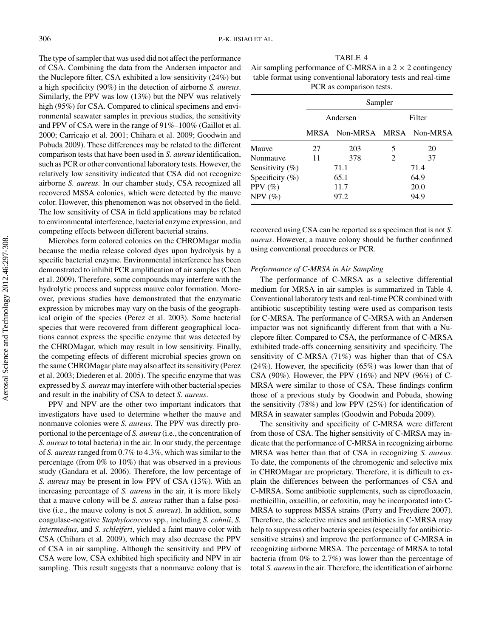The type of sampler that was used did not affect the performance of CSA. Combining the data from the Andersen impactor and the Nuclepore filter, CSA exhibited a low sensitivity (24%) but a high specificity (90%) in the detection of airborne *S. aureus*. Similarly, the PPV was low (13%) but the NPV was relatively high (95%) for CSA. Compared to clinical specimens and environmental seawater samples in previous studies, the sensitivity and PPV of CSA were in the range of 91%–100% (Gaillot et al. 2000; Carricajo et al. 2001; Chihara et al. 2009; Goodwin and Pobuda 2009). These differences may be related to the different comparison tests that have been used in *S. aureus* identification, such as PCR or other conventional laboratory tests. However, the relatively low sensitivity indicated that CSA did not recognize airborne *S. aureus.* In our chamber study, CSA recognized all recovered MSSA colonies, which were detected by the mauve color. However, this phenomenon was not observed in the field. The low sensitivity of CSA in field applications may be related to environmental interference, bacterial enzyme expression, and competing effects between different bacterial strains.

Microbes form colored colonies on the CHROMagar media because the media release colored dyes upon hydrolysis by a specific bacterial enzyme. Environmental interference has been demonstrated to inhibit PCR amplification of air samples (Chen et al. 2009). Therefore, some compounds may interfere with the hydrolytic process and suppress mauve color formation. Moreover, previous studies have demonstrated that the enzymatic expression by microbes may vary on the basis of the geographical origin of the species (Perez et al. 2003). Some bacterial species that were recovered from different geographical locations cannot express the specific enzyme that was detected by the CHROMagar, which may result in low sensitivity. Finally, the competing effects of different microbial species grown on the same CHROMagar plate may also affect its sensitivity (Perez et al. 2003; Diederen et al. 2005). The specific enzyme that was expressed by *S. aureus* may interfere with other bacterial species and result in the inability of CSA to detect *S. aureus*.

PPV and NPV are the other two important indicators that investigators have used to determine whether the mauve and nonmauve colonies were *S. aureus*. The PPV was directly proportional to the percentage of *S. aureus*(i.e., the concentration of *S. aureus* to total bacteria) in the air. In our study, the percentage of *S. aureus*ranged from 0.7% to 4.3%, which was similar to the percentage (from 0% to 10%) that was observed in a previous study (Gandara et al. 2006). Therefore, the low percentage of *S. aureus* may be present in low PPV of CSA (13%). With an increasing percentage of *S. aureus* in the air, it is more likely that a mauve colony will be *S. aureus* rather than a false positive (i.e., the mauve colony is not *S. aureus*). In addition, some coagulase-negative *Staphylococcus* spp., including *S. cohnii*, *S. intermedius*, and *S. schleiferi*, yielded a faint mauve color with CSA (Chihara et al. 2009), which may also decrease the PPV of CSA in air sampling. Although the sensitivity and PPV of CSA were low, CSA exhibited high specificity and NPV in air sampling. This result suggests that a nonmauve colony that is

TABLE 4 Air sampling performance of C-MRSA in a  $2 \times 2$  contingency table format using conventional laboratory tests and real-time PCR as comparison tests.

|                     | Sampler  |                             |        |    |  |
|---------------------|----------|-----------------------------|--------|----|--|
|                     | Andersen |                             | Filter |    |  |
|                     |          | MRSA Non-MRSA MRSA Non-MRSA |        |    |  |
| Mauve               | 27       | 203                         | 5      | 20 |  |
| Nonmauve            | 11       | 378                         | 2      | 37 |  |
| Sensitivity $(\% )$ | 71.1     |                             | 71.4   |    |  |
| Specificity $(\%)$  | 65.1     |                             | 64.9   |    |  |
| PPV $(\%)$          | 11.7     |                             | 20.0   |    |  |
| $NPV$ (%)           | 97.2     |                             | 94.9   |    |  |

recovered using CSA can be reported as a specimen that is not *S. aureus*. However, a mauve colony should be further confirmed using conventional procedures or PCR.

### *Performance of C-MRSA in Air Sampling*

The performance of C-MRSA as a selective differential medium for MRSA in air samples is summarized in Table 4. Conventional laboratory tests and real-time PCR combined with antibiotic susceptibility testing were used as comparison tests for C-MRSA. The performance of C-MRSA with an Andersen impactor was not significantly different from that with a Nuclepore filter. Compared to CSA, the performance of C-MRSA exhibited trade-offs concerning sensitivity and specificity. The sensitivity of C-MRSA (71%) was higher than that of CSA (24%). However, the specificity (65%) was lower than that of CSA (90%). However, the PPV (16%) and NPV (96%) of C-MRSA were similar to those of CSA. These findings confirm those of a previous study by Goodwin and Pobuda, showing the sensitivity (78%) and low PPV (25%) for identification of MRSA in seawater samples (Goodwin and Pobuda 2009).

The sensitivity and specificity of C-MRSA were different from those of CSA. The higher sensitivity of C-MRSA may indicate that the performance of C-MRSA in recognizing airborne MRSA was better than that of CSA in recognizing *S. aureus.* To date, the components of the chromogenic and selective mix in CHROMagar are proprietary. Therefore, it is difficult to explain the differences between the performances of CSA and C-MRSA. Some antibiotic supplements, such as ciprofloxacin, methicillin, oxacillin, or cefoxitin, may be incorporated into C-MRSA to suppress MSSA strains (Perry and Freydiere 2007). Therefore, the selective mixes and antibiotics in C-MRSA may help to suppress other bacteria species (especially for antibioticsensitive strains) and improve the performance of C-MRSA in recognizing airborne MRSA. The percentage of MRSA to total bacteria (from 0% to 2.7%) was lower than the percentage of total *S. aureus*in the air. Therefore, the identification of airborne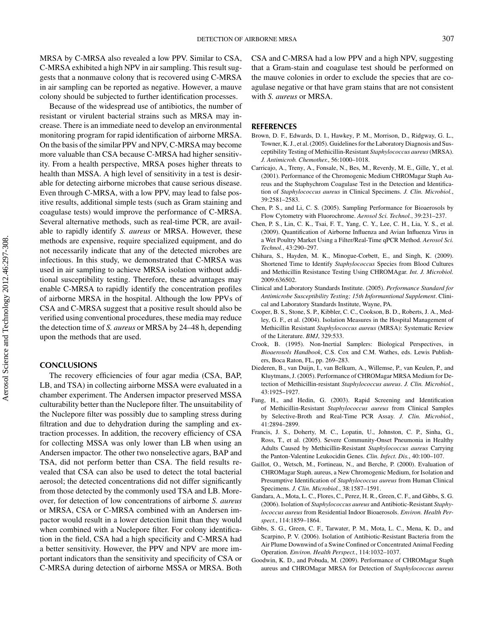MRSA by C-MRSA also revealed a low PPV. Similar to CSA, C-MRSA exhibited a high NPV in air sampling. This result suggests that a nonmauve colony that is recovered using C-MRSA in air sampling can be reported as negative. However, a mauve colony should be subjected to further identification processes.

Because of the widespread use of antibiotics, the number of resistant or virulent bacterial strains such as MRSA may increase. There is an immediate need to develop an environmental monitoring program for rapid identification of airborne MRSA. On the basis of the similar PPV and NPV, C-MRSA may become more valuable than CSA because C-MRSA had higher sensitivity. From a health perspective, MRSA poses higher threats to health than MSSA. A high level of sensitivity in a test is desirable for detecting airborne microbes that cause serious disease. Even through C-MRSA, with a low PPV, may lead to false positive results, additional simple tests (such as Gram staining and coagulase tests) would improve the performance of C-MRSA. Several alternative methods, such as real-time PCR, are available to rapidly identify *S. aureus* or MRSA. However, these methods are expensive, require specialized equipment, and do not necessarily indicate that any of the detected microbes are infectious. In this study, we demonstrated that C-MRSA was used in air sampling to achieve MRSA isolation without additional susceptibility testing. Therefore, these advantages may enable C-MRSA to rapidly identify the concentration profiles of airborne MRSA in the hospital. Although the low PPVs of CSA and C-MRSA suggest that a positive result should also be verified using conventional procedures, these media may reduce the detection time of *S. aureus* or MRSA by 24–48 h, depending upon the methods that are used.

# **CONCLUSIONS**

The recovery efficiencies of four agar media (CSA, BAP, LB, and TSA) in collecting airborne MSSA were evaluated in a chamber experiment. The Andersen impactor preserved MSSA culturability better than the Nuclepore filter. The unsuitability of the Nuclepore filter was possibly due to sampling stress during filtration and due to dehydration during the sampling and extraction processes. In addition, the recovery efficiency of CSA for collecting MSSA was only lower than LB when using an Andersen impactor. The other two nonselective agars, BAP and TSA, did not perform better than CSA. The field results revealed that CSA can also be used to detect the total bacterial aerosol; the detected concentrations did not differ significantly from those detected by the commonly used TSA and LB. Moreover, for detection of low concentrations of airborne *S. aureus* or MRSA, CSA or C-MRSA combined with an Andersen impactor would result in a lower detection limit than they would when combined with a Nuclepore filter. For colony identification in the field, CSA had a high specificity and C-MRSA had a better sensitivity. However, the PPV and NPV are more important indicators than the sensitivity and specificity of CSA or C-MRSA during detection of airborne MSSA or MRSA. Both

CSA and C-MRSA had a low PPV and a high NPV, suggesting that a Gram-stain and coagulase test should be performed on the mauve colonies in order to exclude the species that are coagulase negative or that have gram stains that are not consistent with *S. aureus* or MRSA.

#### **REFERENCES**

- Brown, D. F., Edwards, D. I., Hawkey, P. M., Morrison, D., Ridgway, G. L., Towner, K. J., et al. (2005). Guidelines for the Laboratory Diagnosis and Susceptibility Testing of Methicillin-Resistant *Staphylococcus aureus*(MRSA). *J. Antimicrob. Chemother.*, 56:1000–1018.
- Carricajo, A., Treny, A., Fonsale, N., Bes, M., Reverdy, M. E., Gille, Y., et al. (2001). Performance of the Chromogenic Medium CHROMagar Staph Aureus and the Staphychrom Coagulase Test in the Detection and Identification of *Staphylococcus aureus* in Clinical Specimens. *J. Clin. Microbiol.*, 39:2581–2583.
- Chen, P. S., and Li, C. S. (2005). Sampling Performance for Bioaerosols by Flow Cytometry with Fluorochrome. *Aerosol Sci. Technol.*, 39:231–237.
- Chen, P. S., Lin, C. K., Tsai, F. T., Yang, C. Y., Lee, C. H., Lia, Y. S., et al. (2009). Quantification of Airborne Influenza and Avian Influenza Virus in a Wet Poultry Market Using a Filter/Real-Time qPCR Method. *Aerosol Sci. Technol.*, 43:290–297.
- Chihara, S., Hayden, M. K., Minogue-Corbett, E., and Singh, K. (2009). Shortened Time to Identify *Staphylococcus* Species from Blood Cultures and Methicillin Resistance Testing Using CHROMAgar. *Int. J. Microbiol.* 2009:636502.
- Clinical and Laboratory Standards Institute. (2005). *Performance Standard for Antimicrobe Susceptibility Testing; 15th Informantional Supplement*. Clinical and Laboratory Standards Institute, Wayne, PA.
- Cooper, B. S., Stone, S. P., Kibbler, C. C., Cookson, B. D., Roberts, J. A., Medley, G. F., et al. (2004). Isolation Measures in the Hospital Management of Methicillin Resistant *Staphylococcus aureus* (MRSA): Systematic Review of the Literature. *BMJ*, 329:533.
- Crook, B. (1995). Non-Inertial Samplers: Biological Perspectives, in *Bioaerosols Handbook*, C.S. Cox and C.M. Wathes, eds. Lewis Publishers, Boca Raton, FL, pp. 269–283.
- Diederen, B., van Duijn, I., van Belkum, A., Willemse, P., van Keulen, P., and Kluytmans, J. (2005). Performance of CHROMagar MRSA Medium for Detection of Methicillin-resistant *Staphylococcus aureus*. *J. Clin. Microbiol.*, 43:1925–1927.
- Fang, H., and Hedin, G. (2003). Rapid Screening and Identification of Methicillin-Resistant *Staphylococcus aureus* from Clinical Samples by Selective-Broth and Real-Time PCR Assay. *J. Clin. Microbiol.*, 41:2894–2899.
- Francis, J. S., Doherty, M. C., Lopatin, U., Johnston, C. P., Sinha, G., Ross, T., et al. (2005). Severe Community-Onset Pneumonia in Healthy Adults Caused by Methicillin-Resistant *Staphylococcus aureus* Carrying the Panton-Valentine Leukocidin Genes. *Clin. Infect. Dis.*, 40:100–107.
- Gaillot, O., Wetsch, M., Fortineau, N., and Berche, P. (2000). Evaluation of CHROMagar Staph. aureus, a New Chromogenic Medium, for Isolation and Presumptive Identification of *Staphylococcus aureus* from Human Clinical Specimens. *J. Clin. Microbiol.*, 38:1587–1591.
- Gandara, A., Mota, L. C., Flores, C., Perez, H. R., Green, C. F., and Gibbs, S. G. (2006). Isolation of *Staphylococcus aureus* and Antibiotic-Resistant *Staphylococcus aureus* from Residential Indoor Bioaerosols. *Environ. Health Perspect.*, 114:1859–1864.
- Gibbs, S. G., Green, C. F., Tarwater, P. M., Mota, L. C., Mena, K. D., and Scarpino, P. V. (2006). Isolation of Antibiotic-Resistant Bacteria from the Air Plume Downwind of a Swine Confined or Concentrated Animal Feeding Operation. *Environ. Health Perspect.*, 114:1032–1037.
- Goodwin, K. D., and Pobuda, M. (2009). Performance of CHROMagar Staph aureus and CHROMagar MRSA for Detection of *Staphylococcus aureus*